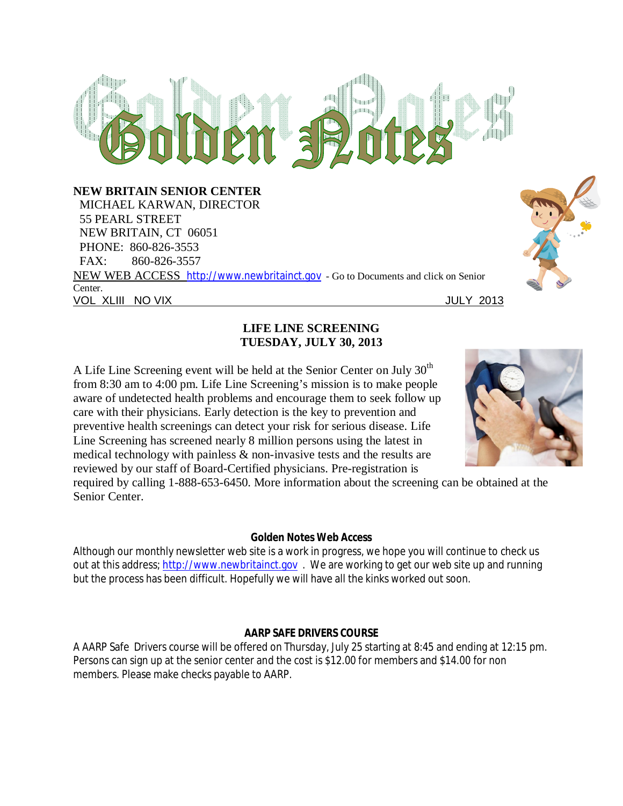## $R_0$ m = **NEW BRITAIN SENIOR CENTER** MICHAEL KARWAN, DIRECTOR 55 PEARL STREET NEW BRITAIN, CT 06051 PHONE: 860-826-3553 FAX: 860-826-3557 NEW WEB ACCESS http://www.newbritainct.gov - Go to Documents and click on Senior Center. VOL XLIII NO VIX JULY 2013

#### **LIFE LINE SCREENING TUESDAY, JULY 30, 2013**

A Life Line Screening event will be held at the Senior Center on July  $30<sup>th</sup>$ from 8:30 am to 4:00 pm. Life Line Screening's mission is to make people aware of undetected health problems and encourage them to seek follow up care with their physicians. Early detection is the key to prevention and preventive health screenings can detect your risk for serious disease. Life Line Screening has screened nearly 8 million persons using the latest in medical technology with painless & non-invasive tests and the results are reviewed by our staff of Board-Certified physicians. Pre-registration is



required by calling 1-888-653-6450. More information about the screening can be obtained at the Senior Center.

#### **Golden Notes Web Access**

Although our monthly newsletter web site is a work in progress, we hope you will continue to check us out at this address; http://www.newbritainct.gov. We are working to get our web site up and running but the process has been difficult. Hopefully we will have all the kinks worked out soon.

#### **AARP SAFE DRIVERS COURSE**

A AARP Safe Drivers course will be offered on Thursday, July 25 starting at 8:45 and ending at 12:15 pm. Persons can sign up at the senior center and the cost is \$12.00 for members and \$14.00 for non members. Please make checks payable to AARP.

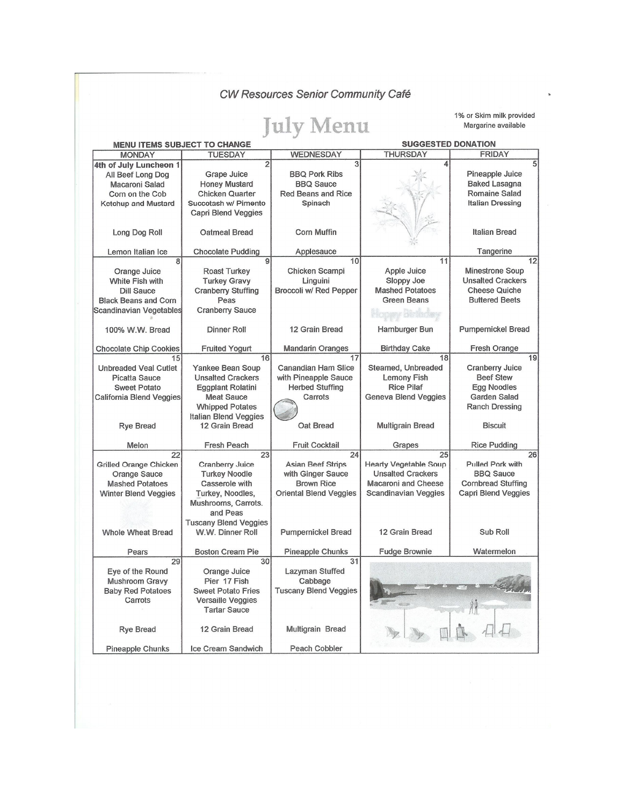CW Resources Senior Community Café

# **July Menu**

1% or Skim milk provided Margarine available

| <b>MENU ITEMS SUBJECT TO CHANGE</b>                                                                                               |                                                                                                                                                                          |                                                                                                           | <b>SUGGESTED DONATION</b>                                                                                              |                                                                                                                            |
|-----------------------------------------------------------------------------------------------------------------------------------|--------------------------------------------------------------------------------------------------------------------------------------------------------------------------|-----------------------------------------------------------------------------------------------------------|------------------------------------------------------------------------------------------------------------------------|----------------------------------------------------------------------------------------------------------------------------|
| <b>MONDAY</b>                                                                                                                     | <b>TUESDAY</b>                                                                                                                                                           | <b>WEDNESDAY</b>                                                                                          | <b>THURSDAY</b>                                                                                                        | <b>FRIDAY</b>                                                                                                              |
| 4th of July Luncheon 1<br>All Beef Long Dog<br>Macaroni Salad<br>Corn on the Cob<br>Ketchup and Mustard                           | $\overline{2}$<br>Grape Juice<br><b>Honey Mustard</b><br><b>Chicken Quarter</b><br>Succotash w/ Pimento<br>Capri Blend Veggies                                           | 3<br><b>BBQ Pork Ribs</b><br><b>BBQ Sauce</b><br><b>Red Beans and Rice</b><br>Spinach                     | 4                                                                                                                      | Pineapple Juice<br><b>Baked Lasagna</b><br>Romaine Salad<br><b>Italian Dressing</b>                                        |
| Long Dog Roll                                                                                                                     | Oatmeal Bread                                                                                                                                                            | <b>Corn Muffin</b>                                                                                        |                                                                                                                        | Italian Bread                                                                                                              |
| Lemon Italian Ice                                                                                                                 | <b>Chocolate Pudding</b>                                                                                                                                                 | Applesauce                                                                                                |                                                                                                                        | Tangerine                                                                                                                  |
| 8<br>Orange Juice<br>White Fish with<br><b>Dill Sauce</b><br><b>Black Beans and Corn</b><br>Scandinavian Vegetables               | 9<br><b>Roast Turkey</b><br><b>Turkey Gravy</b><br><b>Cranberry Stuffing</b><br>Peas<br><b>Cranberry Sauce</b>                                                           | 10<br>Chicken Scampi<br>Linguini<br>Broccoli w/ Red Pepper                                                | 11<br>Apple Juice<br>Sloppy Joe<br><b>Mashed Potatoes</b><br><b>Green Beans</b>                                        | 12<br><b>Minestrone Soup</b><br><b>Unsalted Crackers</b><br><b>Cheese Quiche</b><br><b>Buttered Beets</b>                  |
| 100% W.W. Bread                                                                                                                   | Dinner Roll                                                                                                                                                              | 12 Grain Bread                                                                                            | Hamburger Bun                                                                                                          | Pumpernickel Bread                                                                                                         |
| <b>Chocolate Chip Cookies</b>                                                                                                     | <b>Fruited Yogurt</b>                                                                                                                                                    | <b>Mandarin Oranges</b>                                                                                   | <b>Birthday Cake</b>                                                                                                   | Fresh Orange                                                                                                               |
| 15<br><b>Unbreaded Veal Cutlet</b><br><b>Picatta Sauce</b><br><b>Sweet Potato</b><br>California Blend Veggies<br><b>Rye Bread</b> | 16<br>Yankee Bean Soup<br><b>Unsalted Crackers</b><br>Eggplant Rolatini<br><b>Meat Sauce</b><br><b>Whipped Potates</b><br><b>Italian Blend Veggies</b><br>12 Grain Bread | 17<br>Canandian Ham Slice<br>with Pineapple Sauce<br><b>Herbed Stuffing</b><br>Carrots<br>Oat Bread       | 18<br>Steamed, Unbreaded<br><b>Lemony Fish</b><br><b>Rice Pilaf</b><br>Geneva Blend Veggies<br><b>Multigrain Bread</b> | 19<br><b>Cranberry Juice</b><br><b>Beef Stew</b><br>Egg Noodles<br><b>Garden Salad</b><br>Ranch Dressing<br><b>Biscuit</b> |
| Melon                                                                                                                             | Fresh Peach                                                                                                                                                              | <b>Fruit Cocktail</b>                                                                                     | Grapes                                                                                                                 | <b>Rice Pudding</b>                                                                                                        |
| 22<br>Grilled Orange Chicken<br><b>Orange Sauce</b><br><b>Mashed Potatoes</b><br><b>Winter Blend Veggies</b>                      | 23<br>Cranberry Juice<br><b>Turkey Noodle</b><br>Casserole with<br>Turkey, Noodles,<br>Mushrooms, Carrots.<br>and Peas<br><b>Tuscany Blend Veggies</b>                   | 24<br><b>Asian Beef Strips</b><br>with Ginger Sauce<br><b>Brown Rice</b><br><b>Oriental Blend Veggies</b> | 25<br><b>Hearty Vegetable Soup</b><br><b>Unsalted Crackers</b><br><b>Macaroni and Cheese</b><br>Scandinavian Veggies   | 26<br>Pulled Pork with<br><b>BBQ Sauce</b><br><b>Cornbread Stuffing</b><br><b>Capri Blend Veggies</b>                      |
| <b>Whole Wheat Bread</b>                                                                                                          | W.W. Dinner Roll                                                                                                                                                         | <b>Pumpernickel Bread</b>                                                                                 | 12 Grain Bread                                                                                                         | Sub Roll                                                                                                                   |
| Pears                                                                                                                             | <b>Boston Cream Pie</b>                                                                                                                                                  | Pineapple Chunks                                                                                          | <b>Fudge Brownie</b>                                                                                                   | Watermelon                                                                                                                 |
| 29<br>Eve of the Round<br>Mushroom Gravy<br><b>Baby Red Potatoes</b><br>Carrots                                                   | 30<br>Orange Juice<br>Pier 17 Fish<br><b>Sweet Potato Fries</b><br>Versaille Veggies<br><b>Tartar Sauce</b>                                                              | 31<br>Lazyman Stuffed<br>Cabbage<br><b>Tuscany Blend Veggies</b>                                          |                                                                                                                        |                                                                                                                            |
| <b>Rye Bread</b>                                                                                                                  | 12 Grain Bread                                                                                                                                                           | Multigrain Bread                                                                                          |                                                                                                                        |                                                                                                                            |
| Pineapple Chunks                                                                                                                  | Ice Cream Sandwich                                                                                                                                                       | Peach Cobbler                                                                                             |                                                                                                                        |                                                                                                                            |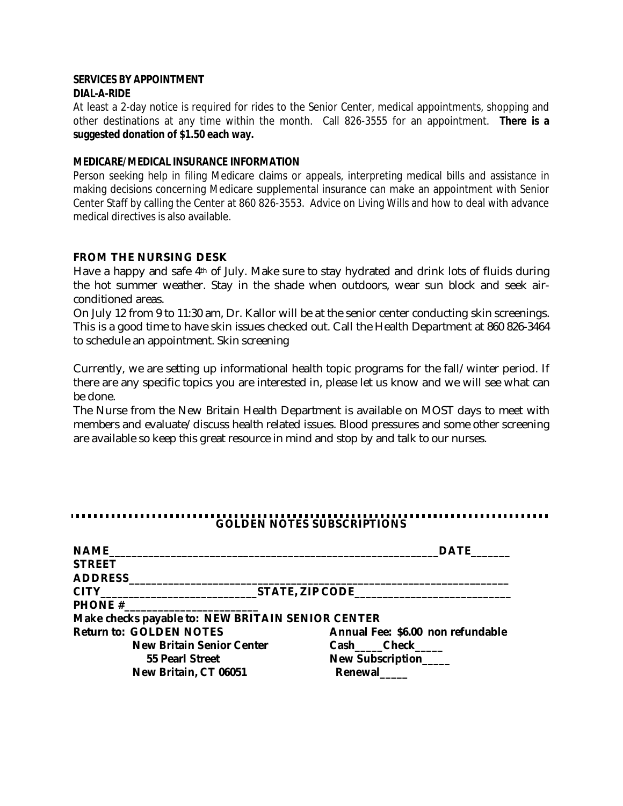#### **SERVICES BY APPOINTMENT DIAL-A-RIDE**

At least a 2-day notice is required for rides to the Senior Center, medical appointments, shopping and other destinations at any time within the month. Call 826-3555 for an appointment. **There is a suggested donation of \$1.50 each way.**

#### **MEDICARE/MEDICAL INSURANCE INFORMATION**

Person seeking help in filing Medicare claims or appeals, interpreting medical bills and assistance in making decisions concerning Medicare supplemental insurance can make an appointment with Senior Center Staff by calling the Center at 860 826-3553. Advice on Living Wills and how to deal with advance medical directives is also available.

#### **FROM THE NURSING DESK**

Have a happy and safe 4<sup>th</sup> of July. Make sure to stay hydrated and drink lots of fluids during the hot summer weather. Stay in the shade when outdoors, wear sun block and seek airconditioned areas.

On July 12 from 9 to 11:30 am, Dr. Kallor will be at the senior center conducting skin screenings. This is a good time to have skin issues checked out. Call the Health Department at 860 826-3464 to schedule an appointment. Skin screening

Currently, we are setting up informational health topic programs for the fall/winter period. If there are any specific topics you are interested in, please let us know and we will see what can be done.

The Nurse from the New Britain Health Department is available on MOST days to meet with members and evaluate/discuss health related issues. Blood pressures and some other screening are available so keep this great resource in mind and stop by and talk to our nurses.

#### **GOLDEN NOTES SUBSCRIPTIONS**

| <b>NAME</b>                                       | <b>DATE</b>                       |
|---------------------------------------------------|-----------------------------------|
| <b>STREET</b>                                     |                                   |
| <b>ADDRESS</b>                                    |                                   |
|                                                   |                                   |
|                                                   |                                   |
| Make checks payable to: NEW BRITAIN SENIOR CENTER |                                   |
| <b>Return to: GOLDEN NOTES</b>                    | Annual Fee: \$6.00 non refundable |
| <b>New Britain Senior Center</b>                  | Cash Check                        |
| 55 Pearl Street                                   | New Subscription                  |
| New Britain, CT 06051                             | Renewal                           |